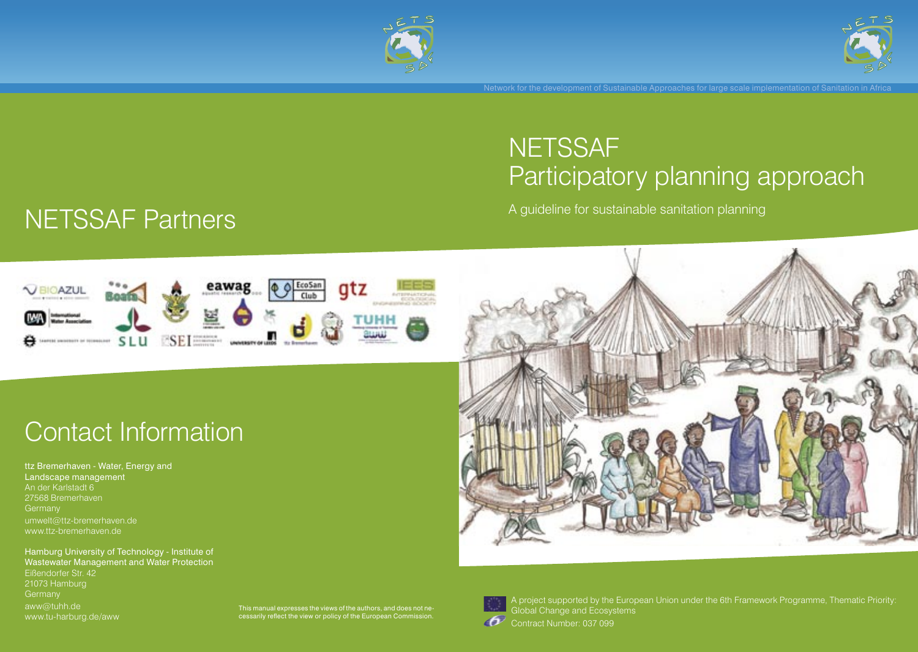



## **NETSSAF** Participatory planning approach

A guideline for sustainable sanitation planning

# **NETSSAF Partners**



## Contact Information

ttz Bremerhaven - Water, Energy and Landscape management An der Karlstadt 6 27568 Bremerhaven **Germany** umwelt@ttz-bremerhaven.de www.ttz-bremerhaven.de

Hamburg University of Technology - Institute of Wastewater Management and Water Protection Eißendorfer Str. 42 21073 Hamburg aww@tuhh.de www.tu-harburg.de/aww







A project supported by the European Union under the 6th Framework Programme, Thematic Priority: Global Change and Ecosystems

Contract Number: 037 099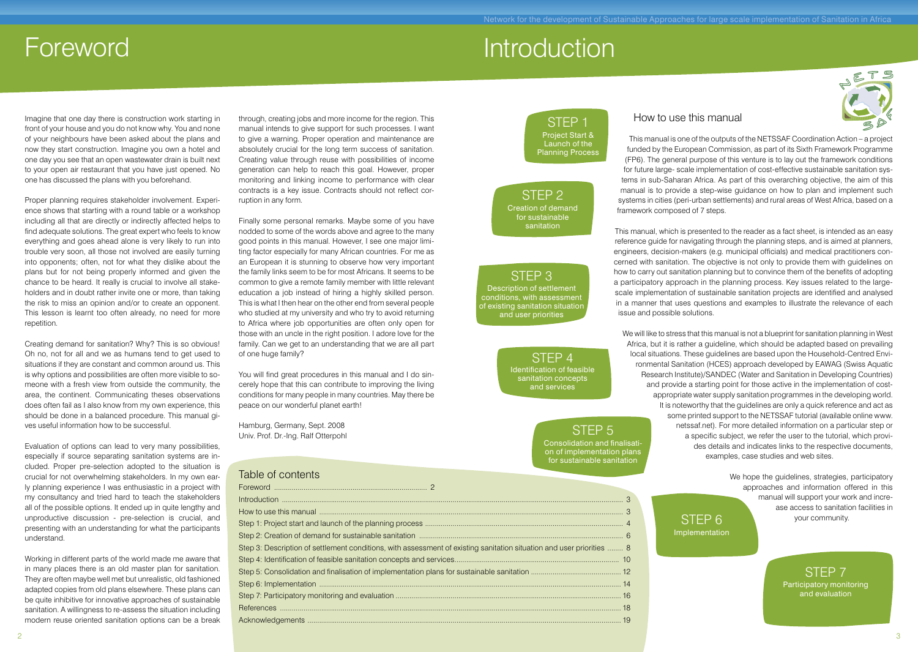### **Foreword Introduction**

Imagine that one day there is construction work starting in front of your house and you do not know why. You and none of your neighbours have been asked about the plans and now they start construction. Imagine you own a hotel and one day you see that an open wastewater drain is built next to your open air restaurant that you have just opened. No one has discussed the plans with you beforehand.

Proper planning requires stakeholder involvement. Experience shows that starting with a round table or a workshop including all that are directly or indirectly affected helps to find adequate solutions. The great expert who feels to know everything and goes ahead alone is very likely to run into trouble very soon, all those not involved are easily turning into opponents; often, not for what they dislike about the plans but for not being properly informed and given the chance to be heard. It really is crucial to involve all stakeholders and in doubt rather invite one or more, than taking the risk to miss an opinion and/or to create an opponent. This lesson is learnt too often already, no need for more repetition.

Creating demand for sanitation? Why? This is so obvious! Oh no, not for all and we as humans tend to get used to situations if they are constant and common around us. This is why options and possibilities are often more visible to someone with a fresh view from outside the community, the area, the continent. Communicating theses observations does often fail as I also know from my own experience, this should be done in a balanced procedure. This manual gives useful information how to be successful.

Evaluation of options can lead to very many possibilities, especially if source separating sanitation systems are included. Proper pre-selection adopted to the situation is crucial for not overwhelming stakeholders. In my own early planning experience I was enthusiastic in a project with my consultancy and tried hard to teach the stakeholders all of the possible options. It ended up in quite lengthy and unproductive discussion - pre-selection is crucial, and presenting with an understanding for what the participants understand.

Working in different parts of the world made me aware that in many places there is an old master plan for sanitation. They are often maybe well met but unrealistic, old fashioned adapted copies from old plans elsewhere. These plans can be quite inhibitive for innovative approaches of sustainable sanitation. A willingness to re-assess the situation including modern reuse oriented sanitation options can be a break

through, creating jobs and more income for the region. This manual intends to give support for such processes. I want to give a warning. Proper operation and maintenance are absolutely crucial for the long term success of sanitation. Creating value through reuse with possibilities of income generation can help to reach this goal. However, proper monitoring and linking income to performance with clear contracts is a key issue. Contracts should not reflect corruption in any form.

Finally some personal remarks. Maybe some of you have nodded to some of the words above and agree to the many good points in this manual. However, I see one major limiting factor especially for many African countries. For me as an European it is stunning to observe how very important the family links seem to be for most Africans. It seems to be common to give a remote family member with little relevant education a job instead of hiring a highly skilled person. This is what I then hear on the other end from several people who studied at my university and who try to avoid returning to Africa where job opportunities are often only open for those with an uncle in the right position. I adore love for the family. Can we get to an understanding that we are all part of one huge family?

You will find great procedures in this manual and I do sincerely hope that this can contribute to improving the living conditions for many people in many countries. May there be peace on our wonderful planet earth!

Hamburg, Germany, Sept. 2008 Univ. Prof. Dr.-Ing. Ralf Otterpohl

#### Table of contents

| Step 3: Description of settlement conditions, with assessment of existing sanitation situation and user priorities  8 |  |
|-----------------------------------------------------------------------------------------------------------------------|--|
|                                                                                                                       |  |
|                                                                                                                       |  |
|                                                                                                                       |  |
|                                                                                                                       |  |
|                                                                                                                       |  |
|                                                                                                                       |  |
|                                                                                                                       |  |

### STEP 1 Project Start & Launch of the Planning Process

#### STEP 2 Creation of demand for sustainable sanitation

STEP 3 Description of settlement conditions, with assessment of existing sanitation situation and user priorities

> STEP 4 Identification of feasible sanitation concepts and services

### STEP 5 Consolidation and finalisati-

on of implementation plans for sustainable sanitation

### How to use this manual

This manual is one of the outputs of the NETSSAF Coordination Action – a project funded by the European Commission, as part of its Sixth Framework Programme (FP6). The general purpose of this venture is to lay out the framework conditions for future large- scale implementation of cost-effective sustainable sanitation systems in sub-Saharan Africa. As part of this overarching objective, the aim of this manual is to provide a step-wise guidance on how to plan and implement such systems in cities (peri-urban settlements) and rural areas of West Africa, based on a framework composed of 7 steps.

This manual, which is presented to the reader as a fact sheet, is intended as an easy reference guide for navigating through the planning steps, and is aimed at planners, engineers, decision-makers (e.g. municipal officials) and medical practitioners concerned with sanitation. The objective is not only to provide them with guidelines on how to carry out sanitation planning but to convince them of the benefits of adopting a participatory approach in the planning process. Key issues related to the largescale implementation of sustainable sanitation projects are identified and analysed in a manner that uses questions and examples to illustrate the relevance of each issue and possible solutions.

We will like to stress that this manual is not a blueprint for sanitation planning in West Africa, but it is rather a guideline, which should be adapted based on prevailing local situations. These guidelines are based upon the Household-Centred Environmental Sanitation (HCES) approach developed by EAWAG (Swiss Aquatic Research Institute)/SANDEC (Water and Sanitation in Developing Countries) and provide a starting point for those active in the implementation of costappropriate water supply sanitation programmes in the developing world. It is noteworthy that the guidelines are only a quick reference and act as some printed support to the NETSSAF tutorial (available online www. netssaf.net). For more detailed information on a particular step or a specific subject, we refer the user to the tutorial, which provides details and indicates links to the respective documents, examples, case studies and web sites.

> STEP 6 Implementation

We hope the guidelines, strategies, participatory approaches and information offered in this manual will support your work and increase access to sanitation facilities in your community.

> STEP 7 Participatory monitoring and evaluation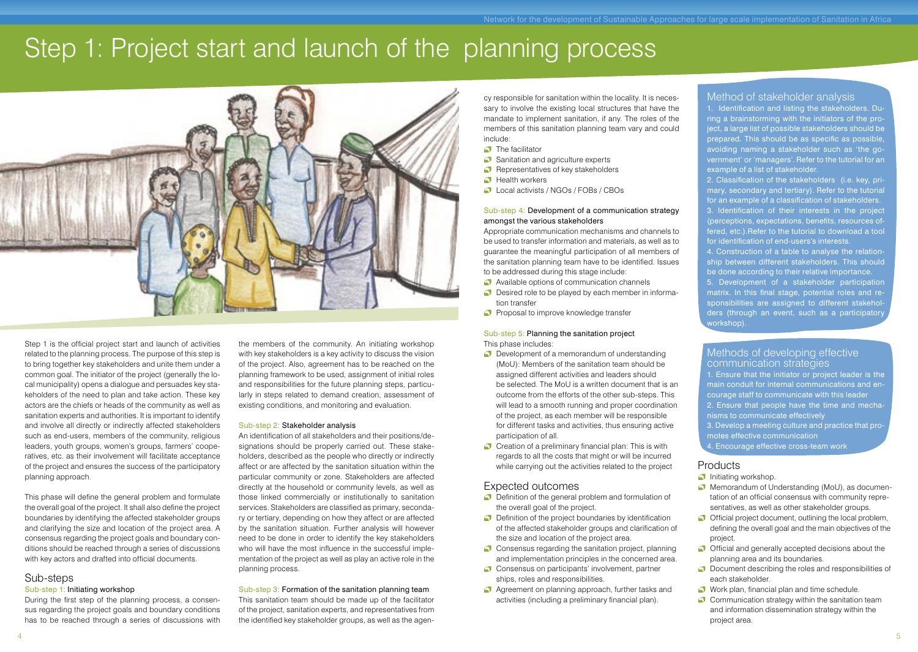## Step 1: Project start and launch of the planning process



Step 1 is the official project start and launch of activities related to the planning process. The purpose of this step is to bring together key stakeholders and unite them under a common goal. The initiator of the project (generally the local municipality) opens a dialogue and persuades key stakeholders of the need to plan and take action. These key actors are the chiefs or heads of the community as well as sanitation experts and authorities. It is important to identify and involve all directly or indirectly affected stakeholders such as end-users, members of the community, religious leaders, youth groups, women's groups, farmers' cooperatives, etc. as their involvement will facilitate acceptance of the project and ensures the success of the participatory planning approach.

This phase will define the general problem and formulate the overall goal of the project. It shall also define the project boundaries by identifying the affected stakeholder groups and clarifying the size and location of the project area. A consensus regarding the project goals and boundary conditions should be reached through a series of discussions with key actors and drafted into official documents.

#### Sub-steps

#### Sub-step 1: Initiating workshop

During the first step of the planning process, a consensus regarding the project goals and boundary conditions has to be reached through a series of discussions with

the members of the community. An initiating workshop with key stakeholders is a key activity to discuss the vision of the project. Also, agreement has to be reached on the planning framework to be used, assignment of initial roles and responsibilities for the future planning steps, particularly in steps related to demand creation, assessment of existing conditions, and monitoring and evaluation.

#### Sub-step 2: Stakeholder analysis

An identification of all stakeholders and their positions/designations should be properly carried out. These stakeholders, described as the people who directly or indirectly affect or are affected by the sanitation situation within the particular community or zone. Stakeholders are affected directly at the household or community levels, as well as those linked commercially or institutionally to sanitation services. Stakeholders are classified as primary, secondary or tertiary, depending on how they affect or are affected by the sanitation situation. Further analysis will however need to be done in order to identify the key stakeholders who will have the most influence in the successful implementation of the project as well as play an active role in the planning process.

#### Sub-step 3: Formation of the sanitation planning team

This sanitation team should be made up of the facilitator of the project, sanitation experts, and representatives from the identified key stakeholder groups, as well as the agency responsible for sanitation within the locality. It is necessary to involve the existing local structures that have the mandate to implement sanitation, if any. The roles of the members of this sanitation planning team vary and could include:

- **C** The facilitator
- Sanitation and agriculture experts
- Representatives of key stakeholders
- **C** Health workers
- Local activists / NGOs / FOBs / CBOs

#### Sub-step 4: Development of a communication strategy amongst the various stakeholders

Appropriate communication mechanisms and channels to be used to transfer information and materials, as well as to guarantee the meaningful participation of all members of the sanitation planning team have to be identified. Issues to be addressed during this stage include:

- Available options of communication channels
- Desired role to be played by each member in information transfer
- Proposal to improve knowledge transfer

#### Sub-step 5: Planning the sanitation project This phase includes:

- **Development of a memorandum of understanding**  (MoU): Members of the sanitation team should be assigned different activities and leaders should be selected. The MoU is a written document that is an outcome from the efforts of the other sub-steps. This will lead to a smooth running and proper coordination of the project, as each member will be responsible for different tasks and activities, thus ensuring active participation of all.
- $\bullet$  Creation of a preliminary financial plan: This is with regards to all the costs that might or will be incurred while carrying out the activities related to the project

#### Expected outcomes

- Definition of the general problem and formulation of the overall goal of the project.
- **D** Definition of the project boundaries by identification of the affected stakeholder groups and clarification of the size and location of the project area.
- Consensus regarding the sanitation project, planning and implementation principles in the concerned area.
- Consensus on participants' involvement, partner ships, roles and responsibilities.
- Agreement on planning approach, further tasks and activities (including a preliminary financial plan).

#### Method of stakeholder analysis

1. Identification and listing the stakeholders. During a brainstorming with the initiators of the project, a large list of possible stakeholders should be prepared. This should be as specific as possible, avoiding naming a stakeholder such as 'the government' or 'managers'. Refer to the tutorial for an example of a list of stakeholder.

2. Classification of the stakeholders (i.e. key, primary, secondary and tertiary). Refer to the tutorial for an example of a classification of stakeholders. 3. Identification of their interests in the project (perceptions, expectations, benefits, resources offered, etc.).Refer to the tutorial to download a tool for identification of end-users's interests.

4. Construction of a table to analyse the relationship between different stakeholders. This should be done according to their relative importance. 5. Development of a stakeholder participation matrix. In this final stage, potential roles and responsibilities are assigned to different stakeholders (through an event, such as a participatory workshop).

#### Methods of developing effective communication strategies

1. Ensure that the initiator or project leader is the main conduit for internal communications and encourage staff to communicate with this leader 2. Ensure that people have the time and mecha-

- nisms to communicate effectively
- 3. Develop a meeting culture and practice that promotes effective communication
- 4. Encourage effective cross-team work

#### **Products**

#### $\Box$  Initiating workshop.

- **Memorandum of Understanding (MoU), as documen** tation of an official consensus with community repre sentatives, as well as other stakeholder groups.
- Official project document, outlining the local problem, defining the overall goal and the main objectives of the project.
- Official and generally accepted decisions about the planning area and its boundaries.
- **D** Document describing the roles and responsibilities of each stakeholder.
- Work plan, financial plan and time schedule.
- $\bigcirc$  Communication strategy within the sanitation team and information dissemination strategy within the project area.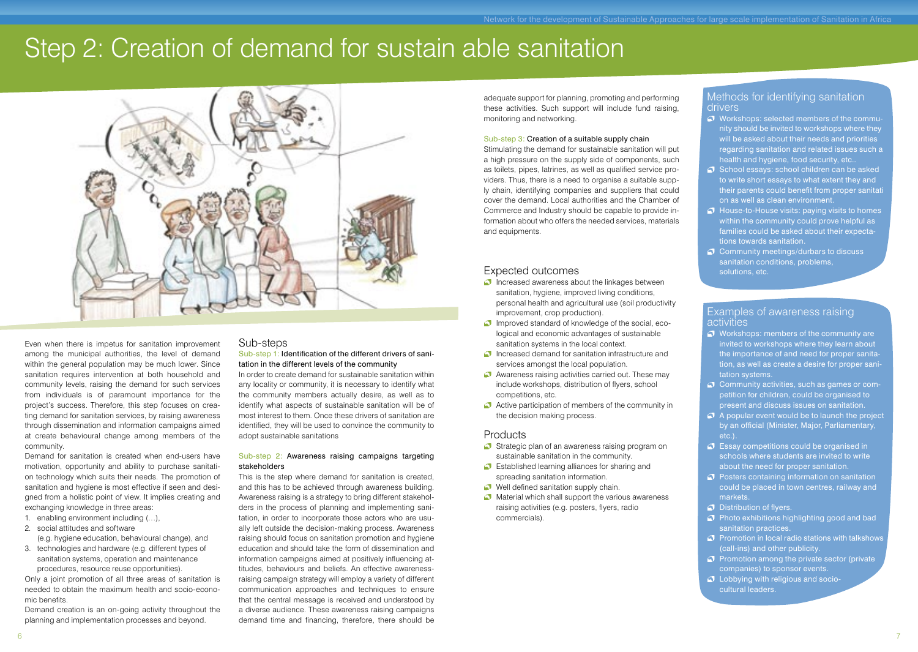## Step 2: Creation of demand for sustain able sanitation



Even when there is impetus for sanitation improvement among the municipal authorities, the level of demand within the general population may be much lower. Since sanitation requires intervention at both household and community levels, raising the demand for such services from individuals is of paramount importance for the project's success. Therefore, this step focuses on creating demand for sanitation services, by raising awareness through dissemination and information campaigns aimed at create behavioural change among members of the community.

Demand for sanitation is created when end-users have motivation, opportunity and ability to purchase sanitation technology which suits their needs. The promotion of sanitation and hygiene is most effective if seen and designed from a holistic point of view. It implies creating and exchanging knowledge in three areas:

- 1. enabling environment including (…), 2. social attitudes and software
- (e.g. hygiene education, behavioural change), and
- 3. technologies and hardware (e.g. different types of sanitation systems, operation and maintenance procedures, resource reuse opportunities).

Only a joint promotion of all three areas of sanitation is needed to obtain the maximum health and socio-economic benefits.

Demand creation is an on-going activity throughout the planning and implementation processes and beyond.

#### Sub-steps

#### Sub-step 1: Identification of the different drivers of sanitation in the different levels of the community

In order to create demand for sustainable sanitation within any locality or community, it is necessary to identify what the community members actually desire, as well as to identify what aspects of sustainable sanitation will be of most interest to them. Once these drivers of sanitation are identified, they will be used to convince the community to adopt sustainable sanitations

#### Sub-step 2: Awareness raising campaigns targeting stakeholders

This is the step where demand for sanitation is created, and this has to be achieved through awareness building. Awareness raising is a strategy to bring different stakeholders in the process of planning and implementing sanitation, in order to incorporate those actors who are usually left outside the decision-making process. Awareness raising should focus on sanitation promotion and hygiene education and should take the form of dissemination and information campaigns aimed at positively influencing attitudes, behaviours and beliefs. An effective awarenessraising campaign strategy will employ a variety of different communication approaches and techniques to ensure that the central message is received and understood by a diverse audience. These awareness raising campaigns demand time and financing, therefore, there should be

adequate support for planning, promoting and performing these activities. Such support will include fund raising, monitoring and networking.

#### Sub-step 3: Creation of a suitable supply chain

Stimulating the demand for sustainable sanitation will put a high pressure on the supply side of components, such as toilets, pipes, latrines, as well as qualified service providers. Thus, there is a need to organise a suitable supply chain, identifying companies and suppliers that could cover the demand. Local authorities and the Chamber of Commerce and Industry should be capable to provide information about who offers the needed services, materials and equipments.

#### Expected outcomes

- $\Box$  Increased awareness about the linkages between sanitation, hygiene, improved living conditions, personal health and agricultural use (soil productivity improvement, crop production).
- Improved standard of knowledge of the social, eco logical and economic advantages of sustainable sanitation systems in the local context.
- **Increased demand for sanitation infrastructure and** services amongst the local population.
- Awareness raising activities carried out. These may include workshops, distribution of flyers, school competitions, etc.
- Active participation of members of the community in the decision making process.

#### Products

- Strategic plan of an awareness raising program on sustainable sanitation in the community.
- Established learning alliances for sharing and spreading sanitation information.
- Well defined sanitation supply chain.
- $\Box$  Material which shall support the various awareness raising activities (e.g. posters, flyers, radio commercials).

#### Methods for identifying sanitation drivers

- Workshops: selected members of the commu nity should be invited to workshops where they will be asked about their needs and priorities regarding sanitation and related issues such a health and hygiene, food security, etc..
- $\heartsuit$  School essays: school children can be asked to write short essays to what extent they and their parents could benefit from proper sanitati on as well as clean environment.
- $\bigcirc$  House-to-House visits: paying visits to homes within the community could prove helpful as families could be asked about their expecta tions towards sanitation.
- $\Omega$  Community meetings/durbars to discuss sanitation conditions, problems, solutions, etc.

#### Examples of awareness raising activities

- Workshops: members of the community are invited to workshops where they learn about the importance of and need for proper sanita tion, as well as create a desire for proper sani tation systems.
- C Community activities, such as games or com petition for children, could be organised to present and discuss issues on sanitation.
- $\bigcirc$  A popular event would be to launch the project by an official (Minister, Major, Parliamentary, etc.).
- Essay competitions could be organised in schools where students are invited to write about the need for proper sanitation.
- **Posters containing information on sanitation**  could be placed in town centres, railway and markets.
- $\Omega$  Distribution of flyers.
- $\bullet$  Photo exhibitions highlighting good and bad sanitation practices.
- $\heartsuit$  Promotion in local radio stations with talkshows (call-ins) and other publicity.
- $\bullet$  Promotion among the private sector (private companies) to sponsor events.
- $\bigcirc$  Lobbying with religious and sociocultural leaders.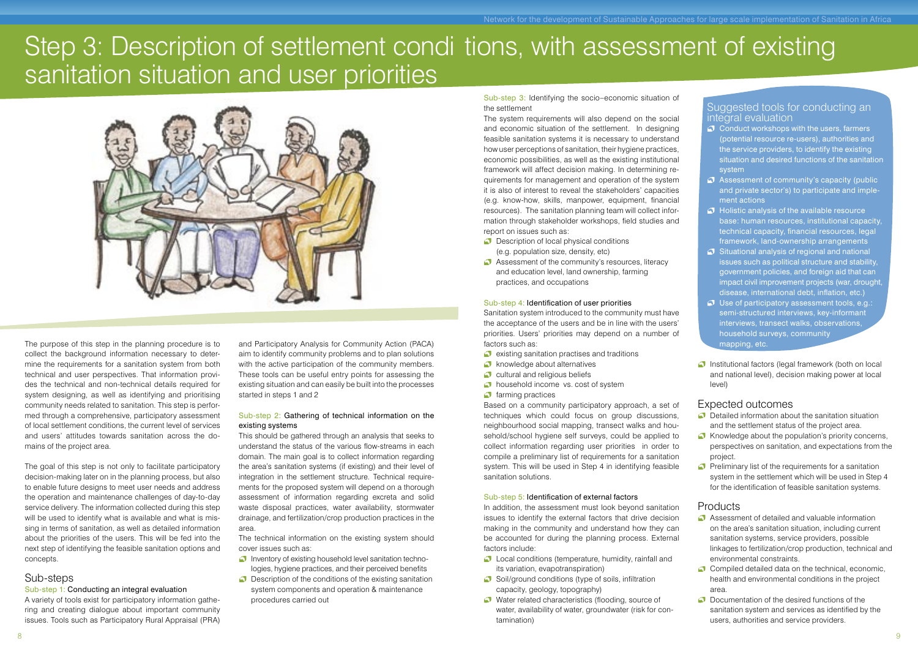### Step 3: Description of settlement condi tions, with assessment of existing sanitation situation and user priorities



The purpose of this step in the planning procedure is to collect the background information necessary to determine the requirements for a sanitation system from both technical and user perspectives. That information provides the technical and non-technical details required for system designing, as well as identifying and prioritising community needs related to sanitation. This step is performed through a comprehensive, participatory assessment of local settlement conditions, the current level of services and users' attitudes towards sanitation across the domains of the project area.

The goal of this step is not only to facilitate participatory decision-making later on in the planning process, but also to enable future designs to meet user needs and address the operation and maintenance challenges of day-to-day service delivery. The information collected during this step will be used to identify what is available and what is missing in terms of sanitation, as well as detailed information about the priorities of the users. This will be fed into the next step of identifying the feasible sanitation options and concepts.

#### Sub-steps

#### Sub-step 1: Conducting an integral evaluation

A variety of tools exist for participatory information gathering and creating dialogue about important community issues. Tools such as Participatory Rural Appraisal (PRA)

and Participatory Analysis for Community Action (PACA) aim to identify community problems and to plan solutions with the active participation of the community members. These tools can be useful entry points for assessing the existing situation and can easily be built into the processes started in steps 1 and 2

#### Sub-step 2: Gathering of technical information on the existing systems

This should be gathered through an analysis that seeks to understand the status of the various flow-streams in each domain. The main goal is to collect information regarding the area's sanitation systems (if existing) and their level of integration in the settlement structure. Technical requirements for the proposed system will depend on a thorough assessment of information regarding excreta and solid waste disposal practices, water availability, stormwater drainage, and fertilization/crop production practices in the area.

The technical information on the existing system should cover issues such as:

- Inventory of existing household level sanitation technologies, hygiene practices, and their perceived benefits
- **Description of the conditions of the existing sanitation**  system components and operation & maintenance procedures carried out

Sub-step 3: Identifying the socio–economic situation of the settlement

The system requirements will also depend on the social and economic situation of the settlement. In designing feasible sanitation systems it is necessary to understand how user perceptions of sanitation, their hygiene practices, economic possibilities, as well as the existing institutional framework will affect decision making. In determining requirements for management and operation of the system it is also of interest to reveal the stakeholders' capacities (e.g. know-how, skills, manpower, equipment, financial resources). The sanitation planning team will collect information through stakeholder workshops, field studies and report on issues such as:

- Description of local physical conditions (e.g. population size, density, etc)
- Assessment of the community's resources, literacy and education level, land ownership, farming practices, and occupations

#### Sub-step 4: Identification of user priorities

Sanitation system introduced to the community must have the acceptance of the users and be in line with the users' priorities. Users' priorities may depend on a number of factors such as:

- $\bullet$  existing sanitation practises and traditions
- **C** knowledge about alternatives
- cultural and religious beliefs
- **b** household income vs. cost of system
- $\bigcirc$  farming practices

Based on a community participatory approach, a set of techniques which could focus on group discussions, neighbourhood social mapping, transect walks and household/school hygiene self surveys, could be applied to collect information regarding user priorities in order to compile a preliminary list of requirements for a sanitation system. This will be used in Step 4 in identifying feasible sanitation solutions.

#### Sub-step 5: Identification of external factors

In addition, the assessment must look beyond sanitation issues to identify the external factors that drive decision making in the community and understand how they can be accounted for during the planning process. External factors include:

- **C** Local conditions (temperature, humidity, rainfall and its variation, evapotranspiration)
- Soil/ground conditions (type of soils, infiltration capacity, geology, topography)
- Water related characteristics (flooding, source of water, availability of water, groundwater (risk for con tamination)

Suggested tools for conducting an integral evaluation

- Conduct workshops with the users, farmers (potential resource re-users), authorities and the service providers, to identify the existing situation and desired functions of the sanitation system
- Assessment of community's capacity (public and private sector's) to participate and imple ment actions
- $\bigcirc$  Holistic analysis of the available resource base: human resources, institutional capacity, technical capacity, financial resources, legal framework, land-ownership arrangements
- $\bigcirc$  Situational analysis of regional and national issues such as political structure and stability, government policies, and foreign aid that can impact civil improvement projects (war, drought disease, international debt, inflation, etc.)
- Use of participatory assessment tools, e.g.: semi-structured interviews, key-informant interviews, transect walks, observations, household surveys, community mapping, etc.
- **Institutional factors (legal framework (both on local**  and national level), decision making power at local level)

#### Expected outcomes

- **O** Detailed information about the sanitation situation and the settlement status of the project area.
- $\bullet$  Knowledge about the population's priority concerns, perspectives on sanitation, and expectations from the project.
- $\bullet$  Preliminary list of the requirements for a sanitation system in the settlement which will be used in Step 4 for the identification of feasible sanitation systems.

- Assessment of detailed and valuable information on the area's sanitation situation, including current sanitation systems, service providers, possible linkages to fertilization/crop production, technical and environmental constraints.
- Compiled detailed data on the technical, economic health and environmental conditions in the project area.
- $\Omega$  Documentation of the desired functions of the sanitation system and services as identified by the users, authorities and service providers.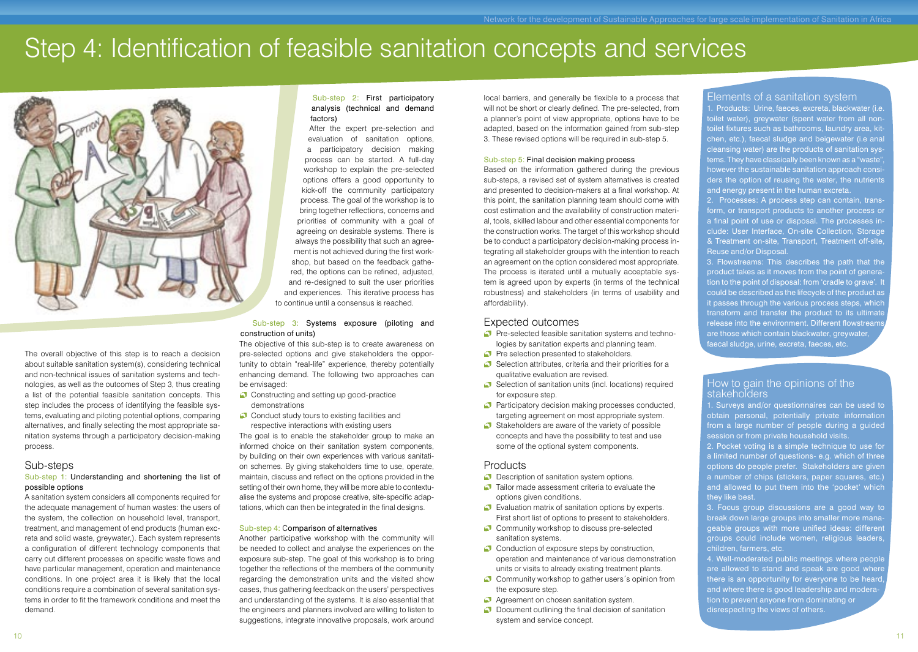## Step 4: Identification of feasible sanitation concepts and services



The overall objective of this step is to reach a decision about suitable sanitation system(s), considering technical and non-technical issues of sanitation systems and technologies, as well as the outcomes of Step 3, thus creating a list of the potential feasible sanitation concepts. This step includes the process of identifying the feasible systems, evaluating and piloting potential options, comparing alternatives, and finally selecting the most appropriate sanitation systems through a participatory decision-making process.

### Sub-steps

#### Sub-step 1: Understanding and shortening the list of possible options

A sanitation system considers all components required for the adequate management of human wastes: the users of the system, the collection on household level, transport, treatment, and management of end products (human excreta and solid waste, greywater,). Each system represents a configuration of different technology components that carry out different processes on specific waste flows and have particular management, operation and maintenance conditions. In one project area it is likely that the local conditions require a combination of several sanitation systems in order to fit the framework conditions and meet the demand.

#### Sub-step 2: First participatory analysis (technical and demand factors)

After the expert pre-selection and evaluation of sanitation options, a participatory decision making process can be started. A full-day workshop to explain the pre-selected options offers a good opportunity to kick-off the community participatory process. The goal of the workshop is to bring together reflections, concerns and priorities of community with a goal of agreeing on desirable systems. There is always the possibility that such an agreement is not achieved during the first workshop, but based on the feedback gathered, the options can be refined, adjusted, and re-designed to suit the user priorities and experiences. This iterative process has to continue until a consensus is reached.

#### Sub-step 3: Systems exposure (piloting and construction of units)

The objective of this sub-step is to create awareness on pre-selected options and give stakeholders the opportunity to obtain "real-life" experience, thereby potentially enhancing demand. The following two approaches can be envisaged:

- Constructing and setting up good-practice demonstrations
- Conduct study tours to existing facilities and respective interactions with existing users

The goal is to enable the stakeholder group to make an informed choice on their sanitation system components, by building on their own experiences with various sanitation schemes. By giving stakeholders time to use, operate, maintain, discuss and reflect on the options provided in the setting of their own home, they will be more able to contextualise the systems and propose creative, site-specific adaptations, which can then be integrated in the final designs.

#### Sub-step 4: Comparison of alternatives

Another participative workshop with the community will be needed to collect and analyse the experiences on the exposure sub-step. The goal of this workshop is to bring together the reflections of the members of the community regarding the demonstration units and the visited show cases, thus gathering feedback on the users' perspectives and understanding of the systems. It is also essential that the engineers and planners involved are willing to listen to suggestions, integrate innovative proposals, work around

local barriers, and generally be flexible to a process that will not be short or clearly defined. The pre-selected, from a planner's point of view appropriate, options have to be adapted, based on the information gained from sub-step 3. These revised options will be required in sub-step 5.

#### Sub-step 5: Final decision making process

Based on the information gathered during the previous sub-steps, a revised set of system alternatives is created and presented to decision-makers at a final workshop. At this point, the sanitation planning team should come with cost estimation and the availability of construction material, tools, skilled labour and other essential components for the construction works. The target of this workshop should be to conduct a participatory decision-making process integrating all stakeholder groups with the intention to reach an agreement on the option considered most appropriate. The process is iterated until a mutually acceptable system is agreed upon by experts (in terms of the technical robustness) and stakeholders (in terms of usability and affordability).

### Expected outcomes

- Pre-selected feasible sanitation systems and technologies by sanitation experts and planning team.
- Pre selection presented to stakeholders.
- Selection attributes, criteria and their priorities for a qualitative evaluation are revised.
- Selection of sanitation units (incl. locations) required for exposure step.
- **Participatory decision making processes conducted,** targeting agreement on most appropriate system.
- $\bigcirc$  Stakeholders are aware of the variety of possible concepts and have the possibility to test and use some of the optional system components.

#### **Products**

**Description of sanitation system options.** 

- $\bullet$  Tailor made assessment criteria to evaluate the options given conditions.
- Evaluation matrix of sanitation options by experts. First short list of options to present to stakeholders.
- Community workshop to discuss pre-selected sanitation systems.
- Conduction of exposure steps by construction, operation and maintenance of various demonstration units or visits to already existing treatment plants.
- Community workshop to gather users's opinion from the exposure step.
- **Agreement on chosen sanitation system.**
- **O** Document outlining the final decision of sanitation system and service concept.

#### Elements of a sanitation system

1. Products: Urine, faeces, excreta, blackwater (i.e. toilet water), greywater (spent water from all nontoilet fixtures such as bathrooms, laundry area, kitchen, etc.), faecal sludge and beigewater (i.e anal cleansing water) are the products of sanitation systems. They have classically been known as a "waste", however the sustainable sanitation approach considers the option of reusing the water, the nutrients and energy present in the human excreta.

2. Processes: A process step can contain, transform, or transport products to another process or a final point of use or disposal. The processes include: User Interface, On-site Collection, Storage & Treatment on-site, Transport, Treatment off-site, Reuse and/or Disposal.

3. Flowstreams: This describes the path that the product takes as it moves from the point of generation to the point of disposal: from 'cradle to grave'. It could be described as the lifecycle of the product as it passes through the various process steps, which transform and transfer the product to its ultimate release into the environment. Different flowstreams are those which contain blackwater, greywater, faecal sludge, urine, excreta, faeces, etc.

#### How to gain the opinions of the stakeholders

1. Surveys and/or questionnaires can be used to obtain personal, potentially private information from a large number of people during a guided session or from private household visits.

2. Pocket voting is a simple technique to use for a limited number of questions- e.g. which of three options do people prefer. Stakeholders are given a number of chips (stickers, paper squares, etc.) and allowed to put them into the 'pocket' which they like best.

3. Focus group discussions are a good way to break down large groups into smaller more manageable groups with more unified ideas: different groups could include women, religious leaders children, farmers, etc.

4. Well-moderated public meetings where people are allowed to stand and speak are good where there is an opportunity for everyone to be heard, and where there is good leadership and moderation to prevent anyone from dominating or disrespecting the views of others.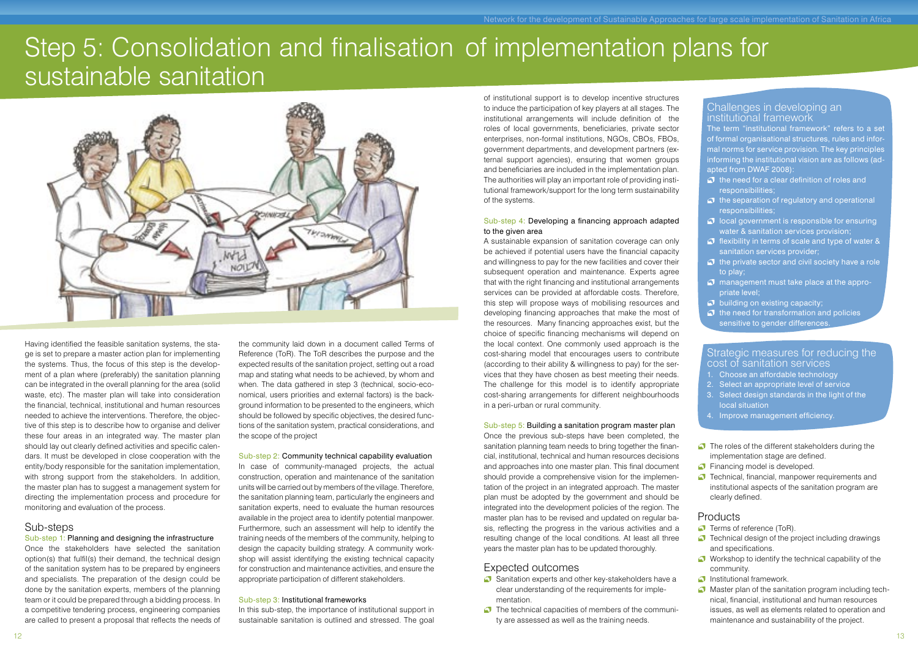### Step 5: Consolidation and finalisation of implementation plans for sustainable sanitation



Having identified the feasible sanitation systems, the stage is set to prepare a master action plan for implementing the systems. Thus, the focus of this step is the development of a plan where (preferably) the sanitation planning can be integrated in the overall planning for the area (solid waste, etc). The master plan will take into consideration the financial, technical, institutional and human resources needed to achieve the interventions. Therefore, the objective of this step is to describe how to organise and deliver these four areas in an integrated way. The master plan should lay out clearly defined activities and specific calendars. It must be developed in close cooperation with the entity/body responsible for the sanitation implementation, with strong support from the stakeholders. In addition, the master plan has to suggest a management system for directing the implementation process and procedure for monitoring and evaluation of the process.

#### Sub-steps

Sub-step 1: Planning and designing the infrastructure Once the stakeholders have selected the sanitation option(s) that fulfil(s) their demand, the technical design of the sanitation system has to be prepared by engineers and specialists. The preparation of the design could be done by the sanitation experts, members of the planning team or it could be prepared through a bidding process. In a competitive tendering process, engineering companies are called to present a proposal that reflects the needs of

the community laid down in a document called Terms of Reference (ToR). The ToR describes the purpose and the expected results of the sanitation project, setting out a road map and stating what needs to be achieved, by whom and when. The data gathered in step 3 (technical, socio-economical, users priorities and external factors) is the background information to be presented to the engineers, which should be followed by specific objectives, the desired functions of the sanitation system, practical considerations, and the scope of the project

#### Sub-step 2: Community technical capability evaluation

In case of community-managed projects, the actual construction, operation and maintenance of the sanitation units will be carried out by members of the village. Therefore, the sanitation planning team, particularly the engineers and sanitation experts, need to evaluate the human resources available in the project area to identify potential manpower. Furthermore, such an assessment will help to identify the training needs of the members of the community, helping to design the capacity building strategy. A community workshop will assist identifying the existing technical capacity for construction and maintenance activities, and ensure the appropriate participation of different stakeholders.

#### Sub-step 3: Institutional frameworks

In this sub-step, the importance of institutional support in sustainable sanitation is outlined and stressed. The goal

of institutional support is to develop incentive structures to induce the participation of key players at all stages. The institutional arrangements will include definition of the roles of local governments, beneficiaries, private sector enterprises, non-formal institutions, NGOs, CBOs, FBOs, government departments, and development partners (external support agencies), ensuring that women groups and beneficiaries are included in the implementation plan. The authorities will play an important role of providing institutional framework/support for the long term sustainability of the systems.

#### Sub-step 4: Developing a financing approach adapted to the given area

A sustainable expansion of sanitation coverage can only be achieved if potential users have the financial capacity and willingness to pay for the new facilities and cover their subsequent operation and maintenance. Experts agree that with the right financing and institutional arrangements services can be provided at affordable costs. Therefore, this step will propose ways of mobilising resources and developing financing approaches that make the most of the resources. Many financing approaches exist, but the choice of specific financing mechanisms will depend on the local context. One commonly used approach is the cost-sharing model that encourages users to contribute (according to their ability & willingness to pay) for the services that they have chosen as best meeting their needs. The challenge for this model is to identify appropriate cost-sharing arrangements for different neighbourhoods in a peri-urban or rural community.

#### Sub-step 5: Building a sanitation program master plan

Once the previous sub-steps have been completed, the sanitation planning team needs to bring together the financial, institutional, technical and human resources decisions and approaches into one master plan. This final document should provide a comprehensive vision for the implementation of the project in an integrated approach. The master plan must be adopted by the government and should be integrated into the development policies of the region. The master plan has to be revised and updated on regular basis, reflecting the progress in the various activities and a resulting change of the local conditions. At least all three years the master plan has to be updated thoroughly.

#### Expected outcomes

- Sanitation experts and other key-stakeholders have a clear understanding of the requirements for imple mentation.
- $\bullet$  The technical capacities of members of the community are assessed as well as the training needs.

Challenges in developing an institutional framework

The term "institutional framework" refers to a set of formal organisational structures, rules and informal norms for service provision. The key principles informing the institutional vision are as follows (adapted from DWAF 2008):

- $\bigcirc$  the need for a clear definition of roles and responsibilities;
- $\bullet$  the separation of regulatory and operational responsibilities;
- $\Omega$  local government is responsible for ensuring water & sanitation services provision;
- $\bigcirc$  flexibility in terms of scale and type of water & sanitation services provider;
- $\bullet$  the private sector and civil society have a role to play;
- $\Omega$  management must take place at the appropriate level;
- $\bullet$  building on existing capacity;
- $\bullet$  the need for transformation and policies sensitive to gender differences.

#### Strategic measures for reducing the cost of sanitation services

- 1. Choose an affordable technology
- 2. Select an appropriate level of service
- 3. Select design standards in the light of the local situation
- 4. Improve management efficiency.
- $\bullet$  The roles of the different stakeholders during the implementation stage are defined.
- **Financing model is developed.**
- **T** Technical, financial, manpower requirements and institutional aspects of the sanitation program are clearly defined.

- **Terms of reference (ToR).**
- $\bullet$  Technical design of the project including drawings and specifications.
- Workshop to identify the technical capability of the community.
- **Institutional framework**
- **Master plan of the sanitation program including tech** nical, financial, institutional and human resources issues, as well as elements related to operation and maintenance and sustainability of the project.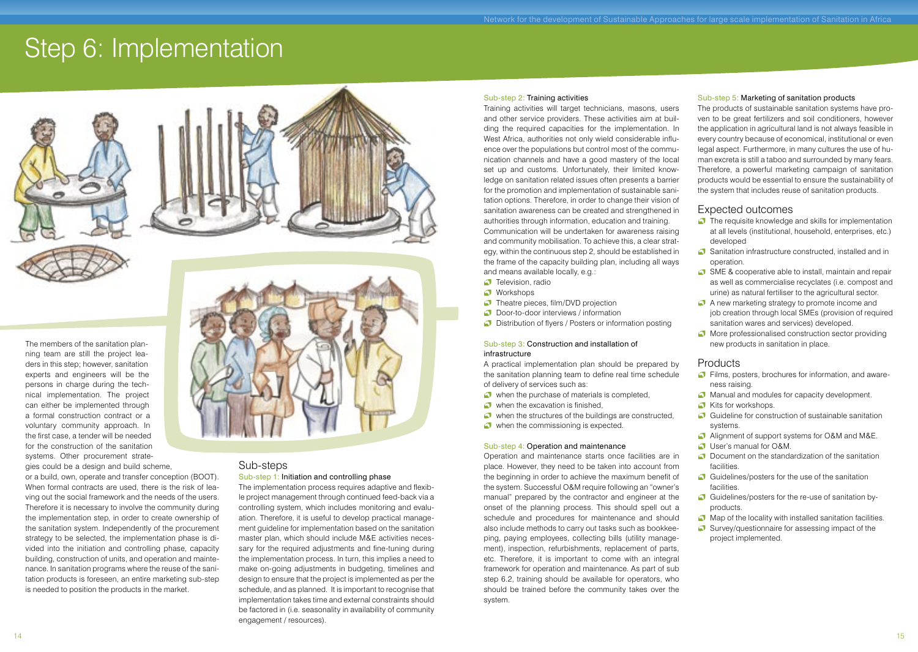### Step 6: Implementation



The members of the sanitation planning team are still the project leaders in this step; however, sanitation experts and engineers will be the persons in charge during the technical implementation. The project can either be implemented through a formal construction contract or a voluntary community approach. In the first case, a tender will be needed for the construction of the sanitation systems. Other procurement strategies could be a design and build scheme,

or a build, own, operate and transfer conception (BOOT). When formal contracts are used, there is the risk of leaving out the social framework and the needs of the users. Therefore it is necessary to involve the community during the implementation step, in order to create ownership of the sanitation system. Independently of the procurement strategy to be selected, the implementation phase is divided into the initiation and controlling phase, capacity building, construction of units, and operation and maintenance. In sanitation programs where the reuse of the sanitation products is foreseen, an entire marketing sub-step is needed to position the products in the market.



### Sub-steps

#### Sub-step 1: Initiation and controlling phase

The implementation process requires adaptive and flexible project management through continued feed-back via a controlling system, which includes monitoring and evaluation. Therefore, it is useful to develop practical management guideline for implementation based on the sanitation master plan, which should include M&E activities necessary for the required adjustments and fine-tuning during the implementation process. In turn, this implies a need to make on-going adjustments in budgeting, timelines and design to ensure that the project is implemented as per the schedule, and as planned. It is important to recognise that implementation takes time and external constraints should be factored in (i.e. seasonality in availability of community engagement / resources).

#### Sub-step 2: Training activities

Training activities will target technicians, masons, users and other service providers. These activities aim at building the required capacities for the implementation. In West Africa, authorities not only wield considerable influence over the populations but control most of the communication channels and have a good mastery of the local set up and customs. Unfortunately, their limited knowledge on sanitation related issues often presents a barrier for the promotion and implementation of sustainable sanitation options. Therefore, in order to change their vision of sanitation awareness can be created and strengthened in authorities through information, education and training. Communication will be undertaken for awareness raising and community mobilisation. To achieve this, a clear strategy, within the continuous step 2, should be established in the frame of the capacity building plan, including all ways and means available locally, e.g.:

- **Television, radio**
- **Workshops**
- **Theatre pieces, film/DVD projection**
- **Door-to-door interviews / information**
- **Distribution of flyers / Posters or information posting**

#### Sub-step 3: Construction and installation of infrastructure

A practical implementation plan should be prepared by the sanitation planning team to define real time schedule of delivery of services such as:

- when the purchase of materials is completed.
- when the excavation is finished,
- when the structures of the buildings are constructed,
- when the commissioning is expected.

#### Sub-step 4: Operation and maintenance

Operation and maintenance starts once facilities are in place. However, they need to be taken into account from the beginning in order to achieve the maximum benefit of the system. Successful O&M require following an "owner's manual" prepared by the contractor and engineer at the onset of the planning process. This should spell out a schedule and procedures for maintenance and should also include methods to carry out tasks such as bookkeeping, paying employees, collecting bills (utility management), inspection, refurbishments, replacement of parts, etc. Therefore, it is important to come with an integral framework for operation and maintenance. As part of sub step 6.2, training should be available for operators, who should be trained before the community takes over the system.

#### Sub-step 5: Marketing of sanitation products

The products of sustainable sanitation systems have proven to be great fertilizers and soil conditioners, however the application in agricultural land is not always feasible in every country because of economical, institutional or even legal aspect. Furthermore, in many cultures the use of human excreta is still a taboo and surrounded by many fears. Therefore, a powerful marketing campaign of sanitation products would be essential to ensure the sustainability of the system that includes reuse of sanitation products.

#### Expected outcomes

- $\bullet$  The requisite knowledge and skills for implementation at all levels (institutional, household, enterprises, etc.) developed
- Sanitation infrastructure constructed, installed and in operation.
- SME & cooperative able to install, maintain and repair as well as commercialise recyclates (i.e. compost and urine) as natural fertiliser to the agricultural sector.
- A new marketing strategy to promote income and job creation through local SMEs (provision of required sanitation wares and services) developed.
- More professionalised construction sector providing new products in sanitation in place.

- Films, posters, brochures for information, and awareness raising.
- Manual and modules for capacity development.
- Kits for workshops.
- Guideline for construction of sustainable sanitation systems.
- Alignment of support systems for O&M and M&E. User's manual for O&M.
- **O** Document on the standardization of the sanitation facilities.
- Guidelines/posters for the use of the sanitation facilities.
- Guidelines/posters for the re-use of sanitation byproducts.
- Map of the locality with installed sanitation facilities.
- $\Box$  Survey/questionnaire for assessing impact of the project implemented.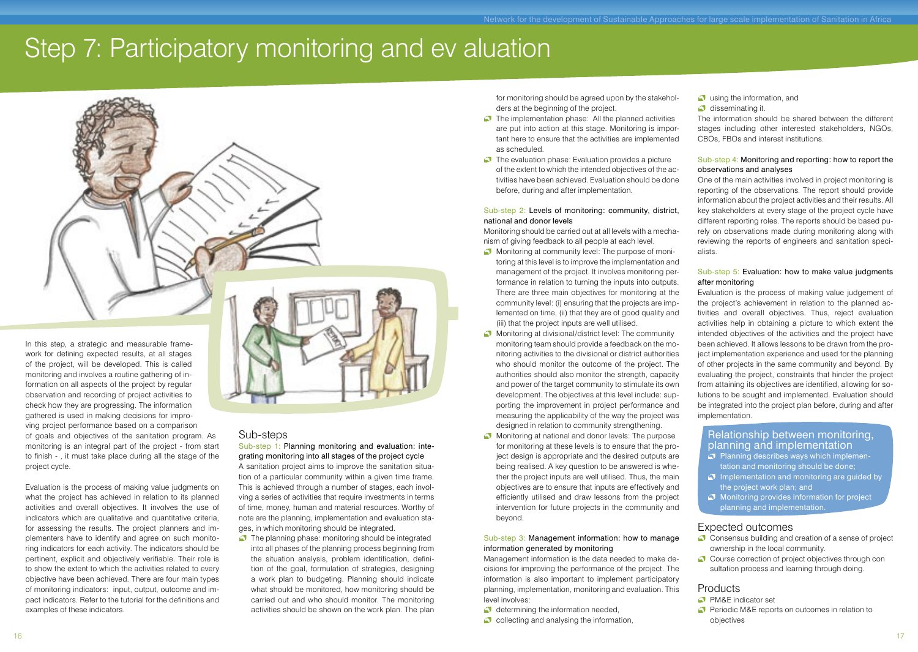## Step 7: Participatory monitoring and ev aluation



work for defining expected results, at all stages of the project, will be developed. This is called monitoring and involves a routine gathering of information on all aspects of the project by regular observation and recording of project activities to check how they are progressing. The information gathered is used in making decisions for improving project performance based on a comparison of goals and objectives of the sanitation program. As monitoring is an integral part of the project - from start to finish - , it must take place during all the stage of the project cycle.

In this step, a strategic and measurable frame-

Evaluation is the process of making value judgments on what the project has achieved in relation to its planned activities and overall objectives. It involves the use of indicators which are qualitative and quantitative criteria, for assessing the results. The project planners and implementers have to identify and agree on such monitoring indicators for each activity. The indicators should be pertinent, explicit and objectively verifiable. Their role is to show the extent to which the activities related to every objective have been achieved. There are four main types of monitoring indicators: input, output, outcome and impact indicators. Refer to the tutorial for the definitions and examples of these indicators.



#### Sub-steps

Sub-step 1: Planning monitoring and evaluation: integrating monitoring into all stages of the project cycle A sanitation project aims to improve the sanitation situation of a particular community within a given time frame. This is achieved through a number of stages, each involving a series of activities that require investments in terms of time, money, human and material resources. Worthy of note are the planning, implementation and evaluation stages, in which monitoring should be integrated.

The planning phase: monitoring should be integrated into all phases of the planning process beginning from the situation analysis, problem identification, definition of the goal, formulation of strategies, designing a work plan to budgeting. Planning should indicate what should be monitored, how monitoring should be carried out and who should monitor. The monitoring activities should be shown on the work plan. The plan

for monitoring should be agreed upon by the stakeholders at the beginning of the project.

- $\Box$  The implementation phase: All the planned activities are put into action at this stage. Monitoring is important here to ensure that the activities are implemented as scheduled.
- $\bullet$  The evaluation phase: Evaluation provides a picture of the extent to which the intended objectives of the activities have been achieved. Evaluation should be done before, during and after implementation.

#### Sub-step 2: Levels of monitoring: community, district, national and donor levels

Monitoring should be carried out at all levels with a mechanism of giving feedback to all people at each level.

- Monitoring at community level: The purpose of monitoring at this level is to improve the implementation and management of the project. It involves monitoring performance in relation to turning the inputs into outputs. There are three main objectives for monitoring at the community level: (i) ensuring that the projects are implemented on time, (ii) that they are of good quality and (iii) that the project inputs are well utilised.
- Monitoring at divisional/district level: The community monitoring team should provide a feedback on the monitoring activities to the divisional or district authorities who should monitor the outcome of the project. The authorities should also monitor the strength, capacity and power of the target community to stimulate its own development. The objectives at this level include: supporting the improvement in project performance and measuring the applicability of the way the project was designed in relation to community strengthening.
- Monitoring at national and donor levels: The purpose for monitoring at these levels is to ensure that the project design is appropriate and the desired outputs are being realised. A key question to be answered is whether the project inputs are well utilised. Thus, the main objectives are to ensure that inputs are effectively and efficiently utilised and draw lessons from the project intervention for future projects in the community and beyond.

#### Sub-step 3: Management information: how to manage information generated by monitoring

Management information is the data needed to make decisions for improving the performance of the project. The information is also important to implement participatory planning, implementation, monitoring and evaluation. This level involves:

- determining the information needed.
- $\bullet$  collecting and analysing the information,

 $\bullet$  using the information, and disseminating it

The information should be shared between the different stages including other interested stakeholders, NGOs CBOs, FBOs and interest institutions.

#### Sub-step 4: Monitoring and reporting: how to report the observations and analyses

One of the main activities involved in project monitoring is reporting of the observations. The report should provide information about the project activities and their results. All key stakeholders at every stage of the project cycle have different reporting roles. The reports should be based purely on observations made during monitoring along with reviewing the reports of engineers and sanitation specialists.

#### Sub-step 5: Evaluation: how to make value judgments after monitoring

Evaluation is the process of making value judgement of the project's achievement in relation to the planned activities and overall objectives. Thus, reject evaluation activities help in obtaining a picture to which extent the intended objectives of the activities and the project have been achieved. It allows lessons to be drawn from the project implementation experience and used for the planning of other projects in the same community and beyond. By evaluating the project, constraints that hinder the project from attaining its objectives are identified, allowing for solutions to be sought and implemented. Evaluation should be integrated into the project plan before, during and after implementation.

#### Relationship between monitoring, planning and implementation

- $\bullet$  Planning describes ways which implementation and monitoring should be done;
- $\Box$  Implementation and monitoring are guided by the project work plan; and
- **Monitoring provides information for project** planning and implementation.

#### Expected outcomes

- Consensus building and creation of a sense of project ownership in the local community.
- Course correction of project objectives through con sultation process and learning through doing.

- **C** PM&F indicator set
- **Periodic M&E reports on outcomes in relation to** objectives